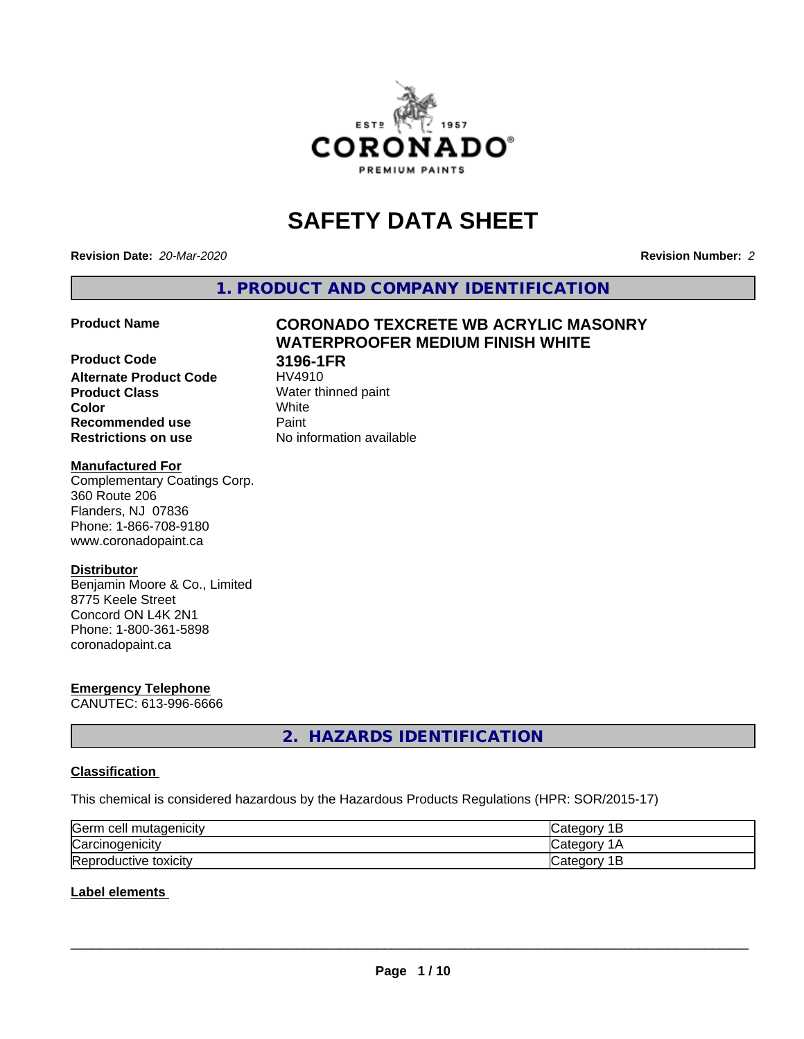

# **SAFETY DATA SHEET**

**Revision Date:** *20-Mar-2020* **Revision Number:** *2*

**1. PRODUCT AND COMPANY IDENTIFICATION**

**WATERPROOFER MEDIUM FINISH WHITE**

#### **Product Name CORONADO TEXCRETE WB ACRYLIC MASONRY**

**Product Code 3196-1FR Alternate Product Code Product Class** Water thinned paint<br> **Color** White **Color** White **Recommended use Caint Restrictions on use** No information available

#### **Manufactured For**

Complementary Coatings Corp. 360 Route 206 Flanders, NJ 07836 Phone: 1-866-708-9180 www.coronadopaint.ca

### **Distributor**

Benjamin Moore & Co., Limited 8775 Keele Street Concord ON L4K 2N1 Phone: 1-800-361-5898 coronadopaint.ca

# **Emergency Telephone**

CANUTEC: 613-996-6666

# **2. HAZARDS IDENTIFICATION**

### **Classification**

This chemical is considered hazardous by the Hazardous Products Regulations (HPR: SOR/2015-17)

| Germ cell mutagenicity        | 10<br>ــ   |
|-------------------------------|------------|
| Carcinogenicity               | и          |
| Repr<br>toxicity<br>roductive | valtu<br>້ |

### **Label elements**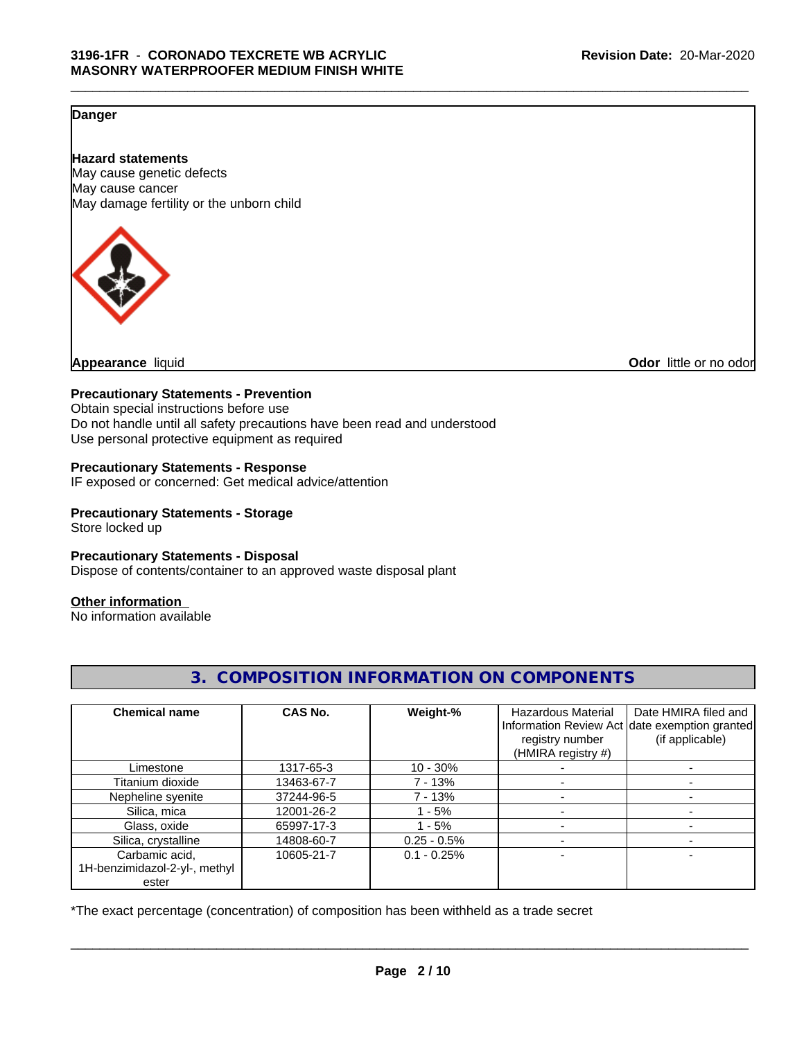### **Danger**

**Hazard statements** May cause genetic defects May cause cancer May damage fertility or the unborn child



**Appearance** liquid **Odor** little or no odor

#### **Precautionary Statements - Prevention**

Obtain special instructions before use Do not handle until all safety precautions have been read and understood Use personal protective equipment as required

#### **Precautionary Statements - Response**

IF exposed or concerned: Get medical advice/attention

**Precautionary Statements - Storage**

Store locked up

#### **Precautionary Statements - Disposal**

Dispose of contents/container to an approved waste disposal plant

#### **Other information**

No information available

| <b>Chemical name</b>          | CAS No.    | Weight-%       | <b>Hazardous Material</b><br>registry number<br>(HMIRA registry #) | Date HMIRA filed and<br>Information Review Act date exemption granted<br>(if applicable) |
|-------------------------------|------------|----------------|--------------------------------------------------------------------|------------------------------------------------------------------------------------------|
| Limestone                     | 1317-65-3  | $10 - 30%$     |                                                                    |                                                                                          |
| Titanium dioxide              | 13463-67-7 | 7 - 13%        |                                                                    |                                                                                          |
| Nepheline syenite             | 37244-96-5 | 7 - 13%        |                                                                    |                                                                                          |
| Silica, mica                  | 12001-26-2 | 1 - 5%         |                                                                    |                                                                                          |
| Glass, oxide                  | 65997-17-3 | $-5%$          |                                                                    |                                                                                          |
| Silica, crystalline           | 14808-60-7 | $0.25 - 0.5\%$ |                                                                    |                                                                                          |
| Carbamic acid,                | 10605-21-7 | $0.1 - 0.25%$  |                                                                    |                                                                                          |
| 1H-benzimidazol-2-yl-, methyl |            |                |                                                                    |                                                                                          |
| ester                         |            |                |                                                                    |                                                                                          |

**3. COMPOSITION INFORMATION ON COMPONENTS**

\*The exact percentage (concentration) of composition has been withheld as a trade secret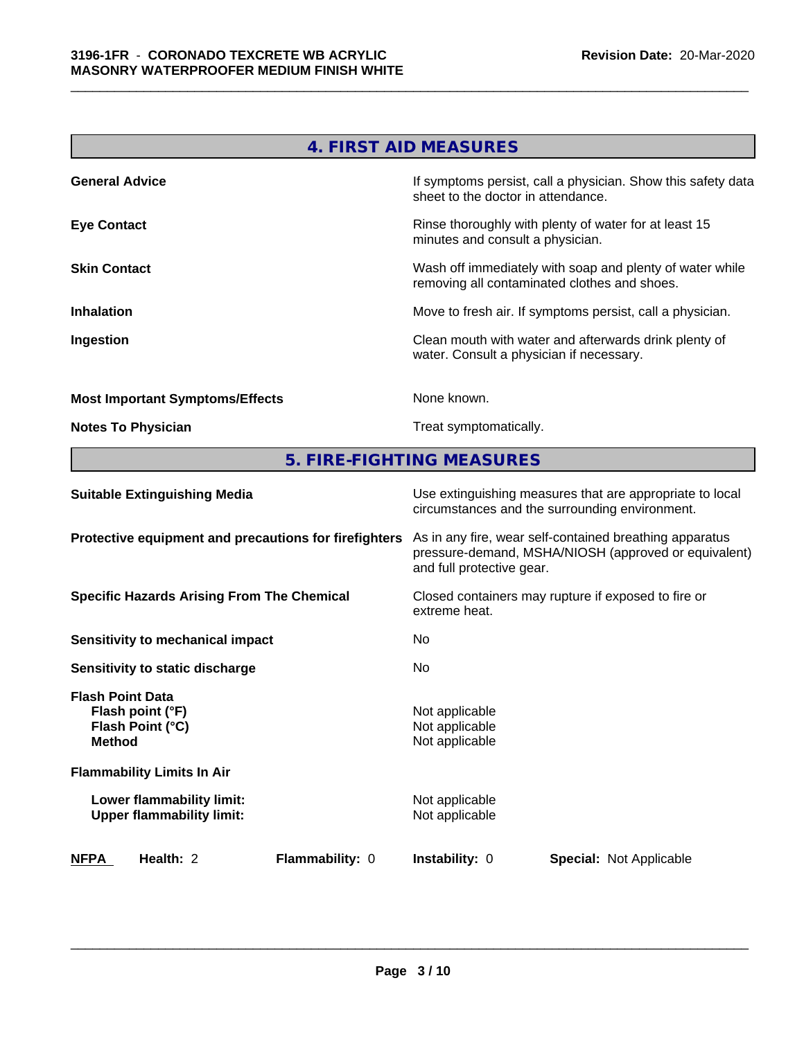|                                        | 4. FIRST AID MEASURES                                                                                    |
|----------------------------------------|----------------------------------------------------------------------------------------------------------|
| <b>General Advice</b>                  | If symptoms persist, call a physician. Show this safety data<br>sheet to the doctor in attendance.       |
| <b>Eye Contact</b>                     | Rinse thoroughly with plenty of water for at least 15<br>minutes and consult a physician.                |
| <b>Skin Contact</b>                    | Wash off immediately with soap and plenty of water while<br>removing all contaminated clothes and shoes. |
| <b>Inhalation</b>                      | Move to fresh air. If symptoms persist, call a physician.                                                |
| Ingestion                              | Clean mouth with water and afterwards drink plenty of<br>water. Consult a physician if necessary.        |
| <b>Most Important Symptoms/Effects</b> | None known.                                                                                              |
| <b>Notes To Physician</b>              | Treat symptomatically.                                                                                   |

**5. FIRE-FIGHTING MEASURES**

| <b>Suitable Extinguishing Media</b>                                              | Use extinguishing measures that are appropriate to local<br>circumstances and the surrounding environment.                                   |
|----------------------------------------------------------------------------------|----------------------------------------------------------------------------------------------------------------------------------------------|
| Protective equipment and precautions for firefighters                            | As in any fire, wear self-contained breathing apparatus<br>pressure-demand, MSHA/NIOSH (approved or equivalent)<br>and full protective gear. |
| <b>Specific Hazards Arising From The Chemical</b>                                | Closed containers may rupture if exposed to fire or<br>extreme heat.                                                                         |
| Sensitivity to mechanical impact                                                 | No                                                                                                                                           |
| Sensitivity to static discharge                                                  | No.                                                                                                                                          |
| <b>Flash Point Data</b><br>Flash point (°F)<br>Flash Point (°C)<br><b>Method</b> | Not applicable<br>Not applicable<br>Not applicable                                                                                           |
| <b>Flammability Limits In Air</b>                                                |                                                                                                                                              |
| Lower flammability limit:<br><b>Upper flammability limit:</b>                    | Not applicable<br>Not applicable                                                                                                             |
| <b>Flammability: 0</b><br>NFPA<br>Health: 2                                      | <b>Instability: 0</b><br><b>Special:</b> Not Applicable                                                                                      |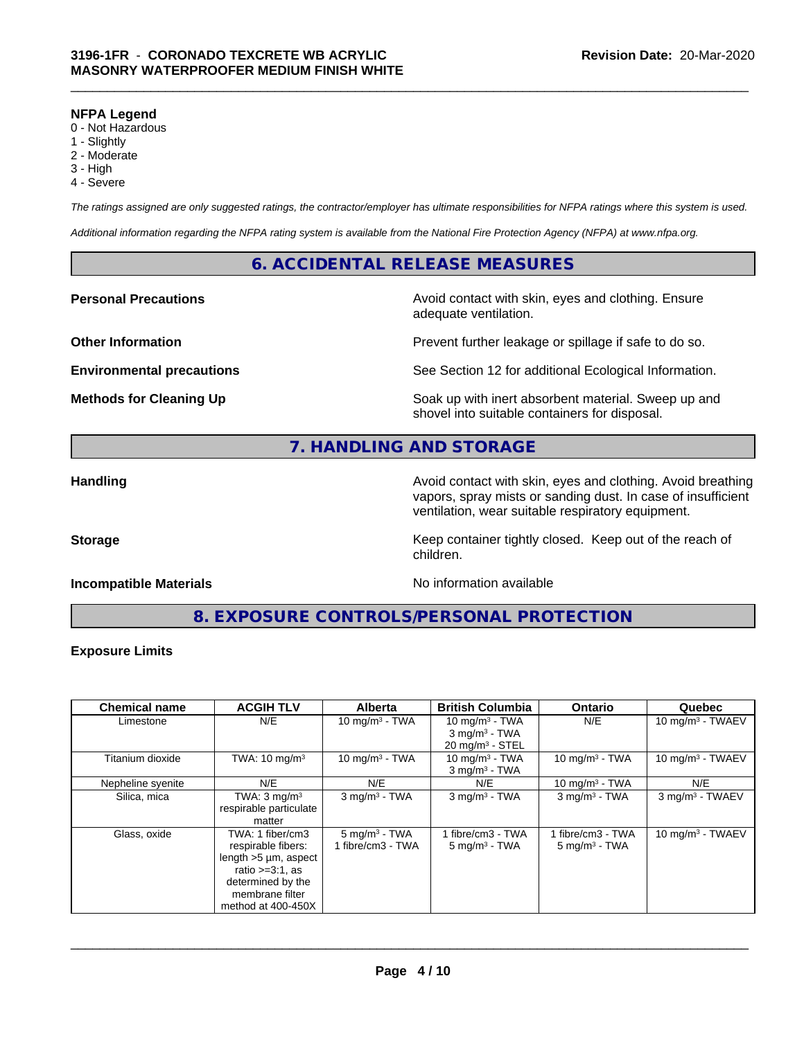#### **NFPA Legend**

- 0 Not Hazardous
- 1 Slightly
- 2 Moderate
- 3 High
- 4 Severe

*The ratings assigned are only suggested ratings, the contractor/employer has ultimate responsibilities for NFPA ratings where this system is used.*

*Additional information regarding the NFPA rating system is available from the National Fire Protection Agency (NFPA) at www.nfpa.org.*

### **6. ACCIDENTAL RELEASE MEASURES**

**Personal Precautions Avoid contact with skin, eyes and clothing. Ensure** Avoid contact with skin, eyes and clothing. Ensure adequate ventilation.

**Other Information Department Information Department Intervent further leakage or spillage if safe to do so.** 

**Environmental precautions** See Section 12 for additional Ecological Information.

**Methods for Cleaning Up Example 20 Soak** up with inert absorbent material. Sweep up and shovel into suitable containers for disposal.

# **7. HANDLING AND STORAGE**

**Handling Avoid contact with skin, eyes and clothing. Avoid breathing Handling Avoid breathing** vapors, spray mists or sanding dust. In case of insufficient ventilation, wear suitable respiratory equipment.

**Storage** Storage **Keep container tightly closed.** Keep out of the reach of

#### **Incompatible Materials Incompatible Materials No information available**

**8. EXPOSURE CONTROLS/PERSONAL PROTECTION**

children.

#### **Exposure Limits**

| <b>Chemical name</b> | <b>ACGIH TLV</b>           | <b>Alberta</b>              | <b>British Columbia</b>     | <b>Ontario</b>              | Quebec                      |
|----------------------|----------------------------|-----------------------------|-----------------------------|-----------------------------|-----------------------------|
| Limestone            | N/E                        | 10 mg/m $3 - TWA$           | 10 mg/m $3$ - TWA           | N/E                         | 10 mg/m $3$ - TWAEV         |
|                      |                            |                             | $3$ mg/m <sup>3</sup> - TWA |                             |                             |
|                      |                            |                             | $20 \text{ mg/m}^3$ - STEL  |                             |                             |
| Titanium dioxide     | TWA: $10 \text{ mg/m}^3$   | $10 \text{ mg/m}^3$ - TWA   | 10 mg/m $3$ - TWA           | 10 mg/m $3$ - TWA           | 10 mg/m $3$ - TWAEV         |
|                      |                            |                             | $3$ mg/m <sup>3</sup> - TWA |                             |                             |
| Nepheline syenite    | N/E                        | N/E                         | N/E                         | 10 mg/m $3$ - TWA           | N/E                         |
| Silica, mica         | TWA: $3 \text{ mg/m}^3$    | $3$ mg/m <sup>3</sup> - TWA | $3$ mg/m <sup>3</sup> - TWA | $3$ mg/m <sup>3</sup> - TWA | 3 mg/m <sup>3</sup> - TWAEV |
|                      | respirable particulate     |                             |                             |                             |                             |
|                      | matter                     |                             |                             |                             |                             |
| Glass, oxide         | TWA: 1 fiber/cm3           | $5 \text{ mg/m}^3$ - TWA    | 1 fibre/cm3 - TWA           | 1 fibre/cm3 - TWA           | 10 mg/m $3 - TWAEV$         |
|                      | respirable fibers:         | 1 fibre/cm3 - TWA           | $5 \text{ mg/m}^3$ - TWA    | $5 \text{ mg/m}^3$ - TWA    |                             |
|                      | length $>5 \mu m$ , aspect |                             |                             |                             |                             |
|                      | ratio $>=3:1$ , as         |                             |                             |                             |                             |
|                      | determined by the          |                             |                             |                             |                             |
|                      | membrane filter            |                             |                             |                             |                             |
|                      | method at 400-450X         |                             |                             |                             |                             |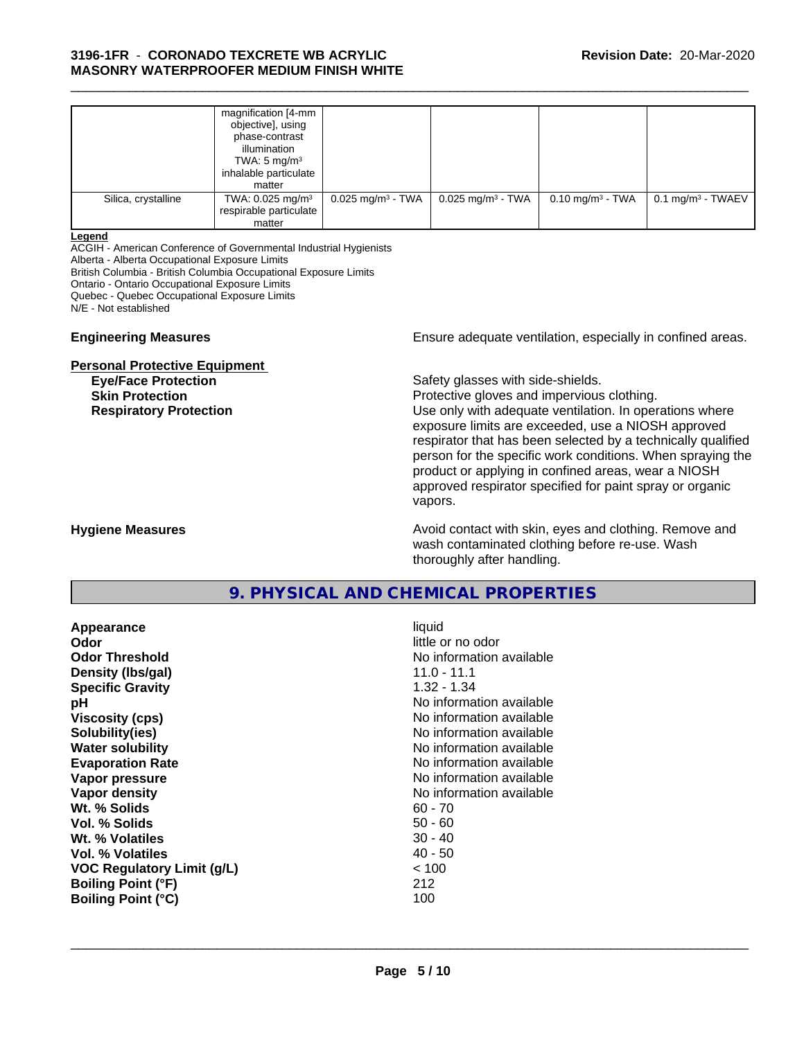|                     | magnification [4-mm<br>objective], using<br>phase-contrast<br>illumination<br>TWA: $5 \text{ mg/m}^3$<br>inhalable particulate<br>matter |                                 |                                 |                             |                              |  |
|---------------------|------------------------------------------------------------------------------------------------------------------------------------------|---------------------------------|---------------------------------|-----------------------------|------------------------------|--|
| Silica, crystalline | TWA: 0.025 mg/m <sup>3</sup><br>respirable particulate<br>matter                                                                         | $0.025$ mg/m <sup>3</sup> - TWA | $0.025$ mg/m <sup>3</sup> - TWA | $0.10 \text{ mg/m}^3$ - TWA | $0.1 \text{ mg/m}^3$ - TWAEV |  |

\_\_\_\_\_\_\_\_\_\_\_\_\_\_\_\_\_\_\_\_\_\_\_\_\_\_\_\_\_\_\_\_\_\_\_\_\_\_\_\_\_\_\_\_\_\_\_\_\_\_\_\_\_\_\_\_\_\_\_\_\_\_\_\_\_\_\_\_\_\_\_\_\_\_\_\_\_\_\_\_\_\_\_\_\_\_\_\_\_\_\_\_\_

#### **Legend**

ACGIH - American Conference of Governmental Industrial Hygienists

Alberta - Alberta Occupational Exposure Limits

British Columbia - British Columbia Occupational Exposure Limits

Ontario - Ontario Occupational Exposure Limits

Quebec - Quebec Occupational Exposure Limits

N/E - Not established

#### **Personal Protective Equipment**

**Eye/Face Protection Safety glasses with side-shields. Skin Protection**<br> **Respiratory Protection**<br> **Respiratory Protection**<br> **Protective gloves and impervious clothing.**<br>
Use only with adequate ventilation. In oper

**Engineering Measures Ensure** Ensure adequate ventilation, especially in confined areas.

Use only with adequate ventilation. In operations where exposure limits are exceeded, use a NIOSH approved respirator that has been selected by a technically qualified person for the specific work conditions. When spraying the product or applying in confined areas, wear a NIOSH approved respirator specified for paint spray or organic vapors.

**Hygiene Measures Avoid contact with skin, eyes and clothing. Remove and Avoid contact with skin, eyes and clothing. Remove and Avoid contact with skin, eyes and clothing. Remove and** wash contaminated clothing before re-use. Wash thoroughly after handling.

# **9. PHYSICAL AND CHEMICAL PROPERTIES**

| Appearance                        | liquid                   |
|-----------------------------------|--------------------------|
| <b>Odor</b>                       | little or no odor        |
| <b>Odor Threshold</b>             | No information available |
| Density (Ibs/gal)                 | $11.0 - 11.1$            |
| <b>Specific Gravity</b>           | 1.32 - 1.34              |
| рH                                | No information available |
| <b>Viscosity (cps)</b>            | No information available |
| Solubility(ies)                   | No information available |
| <b>Water solubility</b>           | No information available |
| <b>Evaporation Rate</b>           | No information available |
| Vapor pressure                    | No information available |
| Vapor density                     | No information available |
| Wt. % Solids                      | $60 - 70$                |
| Vol. % Solids                     | $50 - 60$                |
| Wt. % Volatiles                   | $30 - 40$                |
| Vol. % Volatiles                  | $40 - 50$                |
| <b>VOC Regulatory Limit (g/L)</b> | ~< 100                   |
| <b>Boiling Point (°F)</b>         | 212                      |
| <b>Boiling Point (°C)</b>         | 100                      |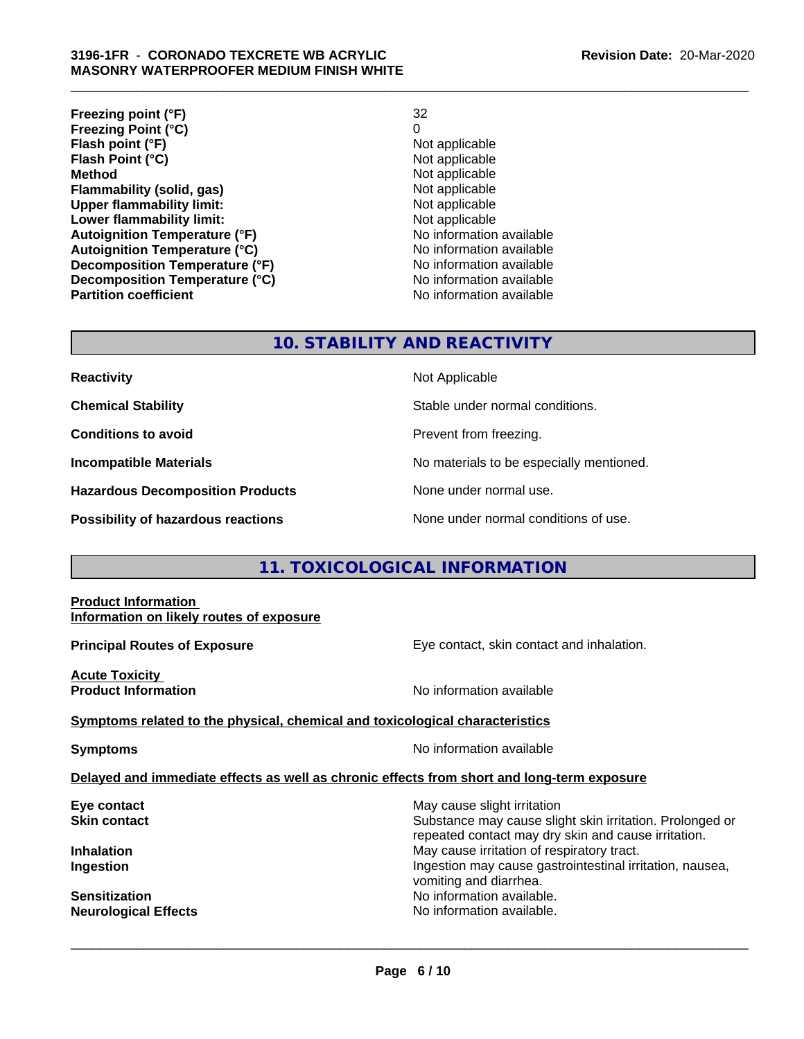| Freezing point (°F)                  | 32                       |
|--------------------------------------|--------------------------|
| <b>Freezing Point (°C)</b>           | 0                        |
| Flash point (°F)                     | Not applicable           |
| Flash Point (°C)                     | Not applicable           |
| <b>Method</b>                        | Not applicable           |
| Flammability (solid, gas)            | Not applicable           |
| <b>Upper flammability limit:</b>     | Not applicable           |
| Lower flammability limit:            | Not applicable           |
| <b>Autoignition Temperature (°F)</b> | No information available |
| <b>Autoignition Temperature (°C)</b> | No information available |
| Decomposition Temperature (°F)       | No information available |
| Decomposition Temperature (°C)       | No information available |
| <b>Partition coefficient</b>         | No information available |

\_\_\_\_\_\_\_\_\_\_\_\_\_\_\_\_\_\_\_\_\_\_\_\_\_\_\_\_\_\_\_\_\_\_\_\_\_\_\_\_\_\_\_\_\_\_\_\_\_\_\_\_\_\_\_\_\_\_\_\_\_\_\_\_\_\_\_\_\_\_\_\_\_\_\_\_\_\_\_\_\_\_\_\_\_\_\_\_\_\_\_\_\_

# **10. STABILITY AND REACTIVITY**

| <b>Reactivity</b>                       | Not Applicable                           |
|-----------------------------------------|------------------------------------------|
| <b>Chemical Stability</b>               | Stable under normal conditions.          |
| <b>Conditions to avoid</b>              | Prevent from freezing.                   |
| <b>Incompatible Materials</b>           | No materials to be especially mentioned. |
| <b>Hazardous Decomposition Products</b> | None under normal use.                   |
| Deceibility of beserves resetions       | None under permal conditions of use      |

# **11. TOXICOLOGICAL INFORMATION**

#### **Product Information Information on likely routes of exposure**

**Principal Routes of Exposure Exposure** Eye contact, skin contact and inhalation.

**Acute Toxicity Product Information Intervention** available **No** information available

**Symptoms** related to the physical, chemical and toxicological characteristics

**Symptoms** No information available

#### **Delayed and immediate effects as well as chronic effects from short and long-term exposure**

**Neurological Effects No information available.** 

**Eye contact Exercise Solution** May cause slight irritation **Skin contact** Substance may cause slight skin irritation. Prolonged or repeated contact may dry skin and cause irritation. **Inhalation Inhalation Inhalation May cause irritation of respiratory tract. Ingestion Ingestion Ingestion may cause gastrointestinal irritation, nausea,** vomiting and diarrhea. **Sensitization** No information available.

 $\overline{\phantom{a}}$  ,  $\overline{\phantom{a}}$  ,  $\overline{\phantom{a}}$  ,  $\overline{\phantom{a}}$  ,  $\overline{\phantom{a}}$  ,  $\overline{\phantom{a}}$  ,  $\overline{\phantom{a}}$  ,  $\overline{\phantom{a}}$  ,  $\overline{\phantom{a}}$  ,  $\overline{\phantom{a}}$  ,  $\overline{\phantom{a}}$  ,  $\overline{\phantom{a}}$  ,  $\overline{\phantom{a}}$  ,  $\overline{\phantom{a}}$  ,  $\overline{\phantom{a}}$  ,  $\overline{\phantom{a}}$ 

**Possibility of hazardous reactions** None under normal conditions of use.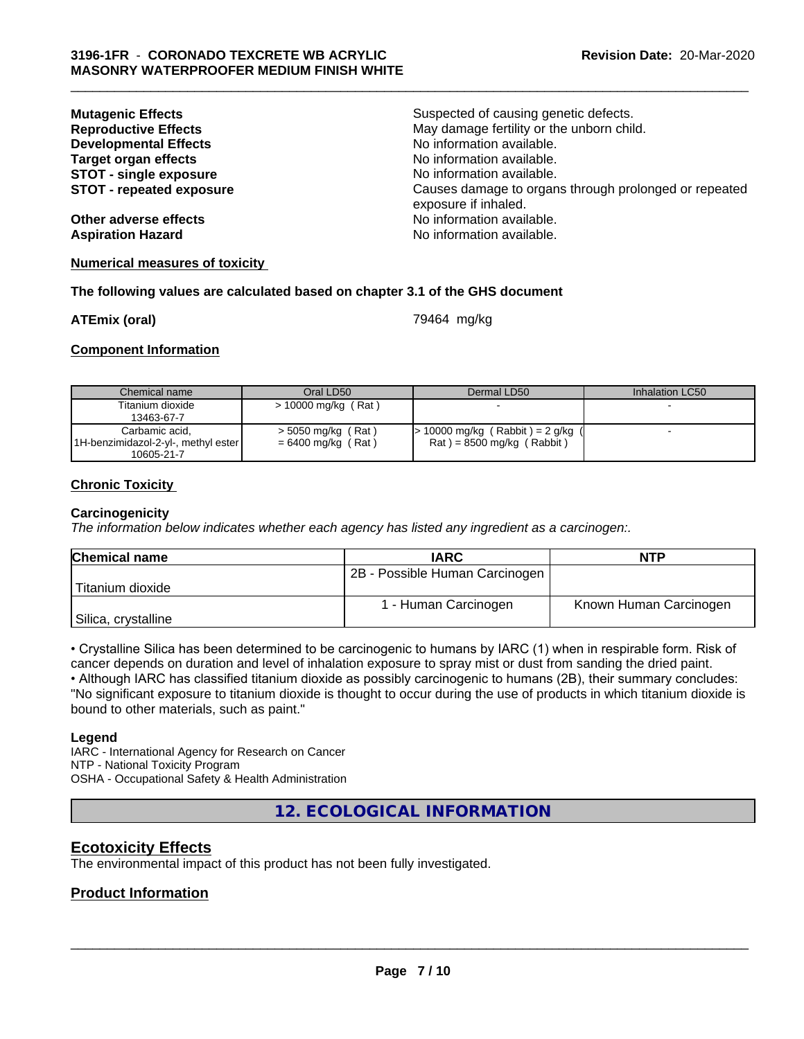| <b>Mutagenic Effects</b>        | Suspected of causing genetic defects.                                         |
|---------------------------------|-------------------------------------------------------------------------------|
| <b>Reproductive Effects</b>     | May damage fertility or the unborn child.                                     |
| <b>Developmental Effects</b>    | No information available.                                                     |
| <b>Target organ effects</b>     | No information available.                                                     |
| <b>STOT - single exposure</b>   | No information available.                                                     |
| <b>STOT - repeated exposure</b> | Causes damage to organs through prolonged or repeated<br>exposure if inhaled. |
| Other adverse effects           | No information available.                                                     |
| <b>Aspiration Hazard</b>        | No information available.                                                     |

#### **Numerical measures of toxicity**

#### **The following values are calculated based on chapter 3.1 of the GHS document**

**ATEmix (oral) ATEmix** (oral)

**Component Information**

| Chemical name                       | Oral LD50             | Dermal LD50                         | Inhalation LC50 |
|-------------------------------------|-----------------------|-------------------------------------|-----------------|
| Titanium dioxide                    | $> 10000$ mg/kg (Rat) |                                     |                 |
| 13463-67-7                          |                       |                                     |                 |
| Carbamic acid.                      | $>$ 5050 mg/kg (Rat)  | $> 10000$ mg/kg (Rabbit) = 2 g/kg ( |                 |
| 1H-benzimidazol-2-yl-, methyl ester | $= 6400$ mg/kg (Rat)  | $Rat$ = 8500 mg/kg (Rabbit)         |                 |
| 10605-21-7                          |                       |                                     |                 |

#### **Chronic Toxicity**

#### **Carcinogenicity**

*The information below indicateswhether each agency has listed any ingredient as a carcinogen:.*

| <b>Chemical name</b> | <b>IARC</b>                    | <b>NTP</b>             |
|----------------------|--------------------------------|------------------------|
|                      | 2B - Possible Human Carcinogen |                        |
| Titanium dioxide     |                                |                        |
|                      | 1 - Human Carcinogen           | Known Human Carcinogen |
| Silica, crystalline  |                                |                        |

• Crystalline Silica has been determined to be carcinogenic to humans by IARC (1) when in respirable form. Risk of cancer depends on duration and level of inhalation exposure to spray mist or dust from sanding the dried paint.

• Although IARC has classified titanium dioxide as possibly carcinogenic to humans (2B), their summary concludes: "No significant exposure to titanium dioxide is thought to occur during the use of products in which titanium dioxide is bound to other materials, such as paint."

#### **Legend**

IARC - International Agency for Research on Cancer NTP - National Toxicity Program OSHA - Occupational Safety & Health Administration

**12. ECOLOGICAL INFORMATION**

#### **Ecotoxicity Effects**

The environmental impact of this product has not been fully investigated.

#### **Product Information**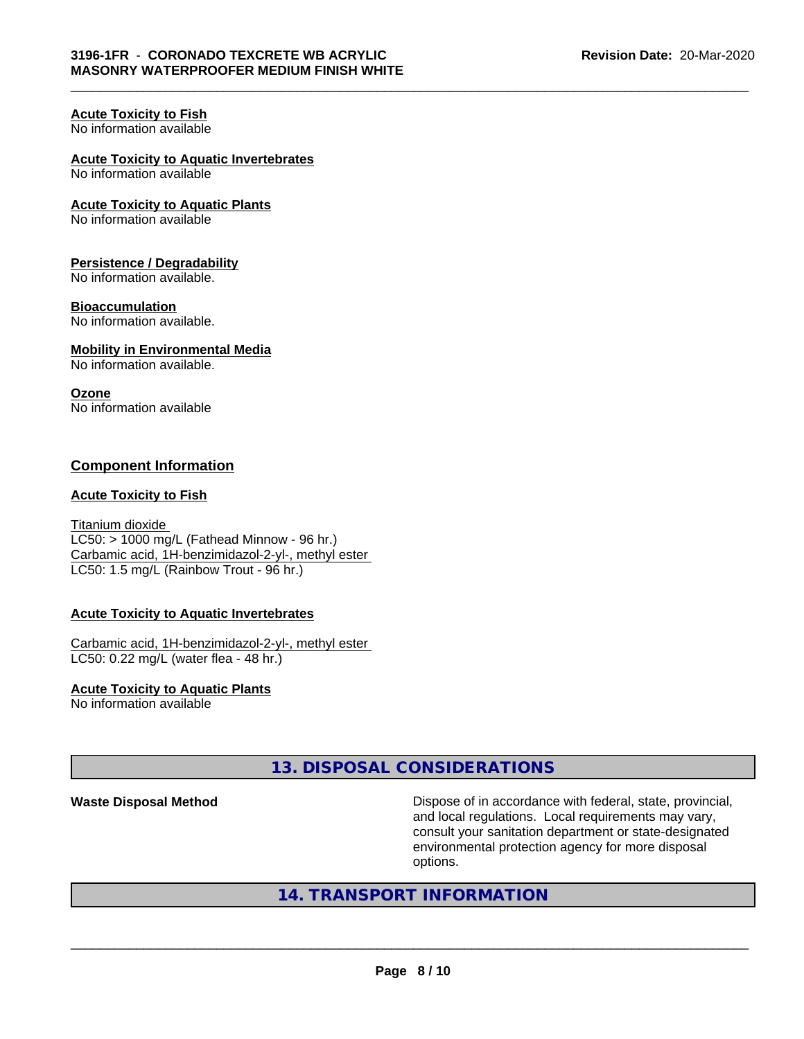### **Acute Toxicity to Fish**

No information available

### **Acute Toxicity to Aquatic Invertebrates**

No information available

#### **Acute Toxicity to Aquatic Plants**

No information available

#### **Persistence / Degradability**

No information available.

#### **Bioaccumulation**

No information available.

#### **Mobility in Environmental Media**

No information available.

#### **Ozone**

No information available

#### **Component Information**

#### **Acute Toxicity to Fish**

Titanium dioxide  $LC50:$  > 1000 mg/L (Fathead Minnow - 96 hr.) Carbamic acid, 1H-benzimidazol-2-yl-, methyl ester LC50: 1.5 mg/L (Rainbow Trout - 96 hr.)

#### **Acute Toxicity to Aquatic Invertebrates**

Carbamic acid, 1H-benzimidazol-2-yl-, methyl ester LC50: 0.22 mg/L (water flea - 48 hr.)

# **Acute Toxicity to Aquatic Plants**

No information available

# **13. DISPOSAL CONSIDERATIONS**

**Waste Disposal Method Dispose of in accordance with federal, state, provincial,** and local regulations. Local requirements may vary, consult your sanitation department or state-designated environmental protection agency for more disposal options.

# **14. TRANSPORT INFORMATION**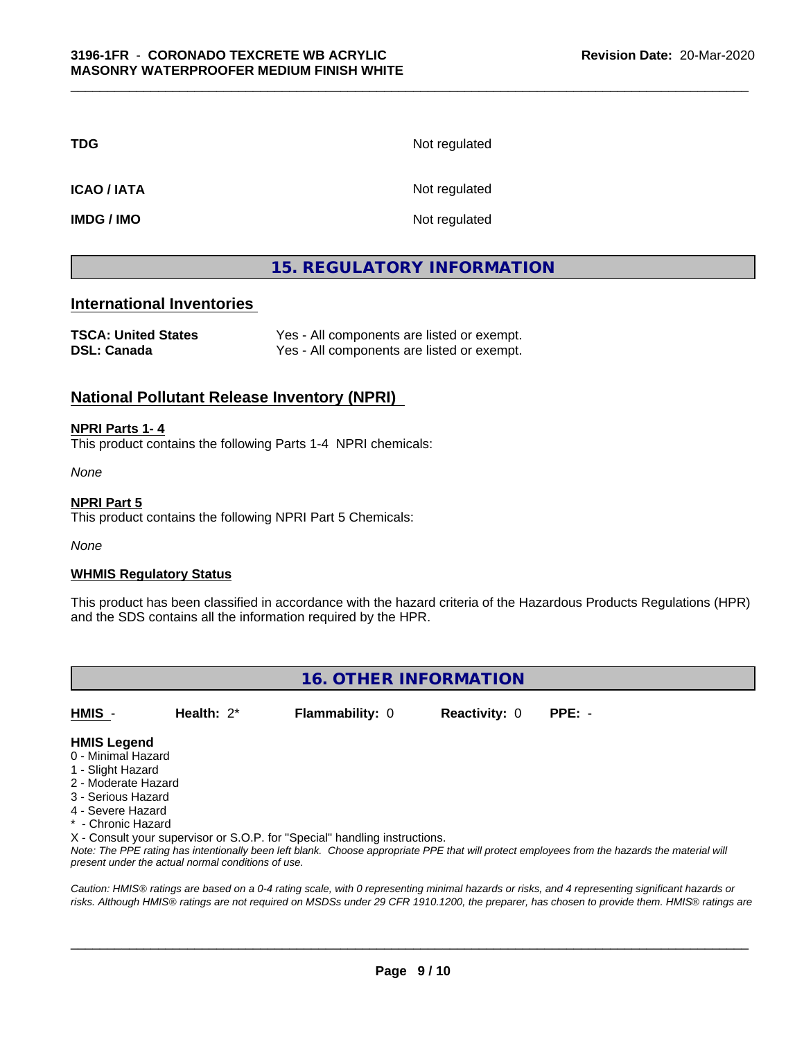**TDG** Not regulated

**ICAO / IATA** Not regulated

**IMDG / IMO** Not regulated

# **15. REGULATORY INFORMATION**

### **International Inventories**

| <b>TSCA: United States</b> | Yes - All components are listed or exempt. |
|----------------------------|--------------------------------------------|
| <b>DSL: Canada</b>         | Yes - All components are listed or exempt. |

### **National Pollutant Release Inventory (NPRI)**

#### **NPRI Parts 1- 4**

This product contains the following Parts 1-4 NPRI chemicals:

*None*

# **NPRI Part 5**

This product contains the following NPRI Part 5 Chemicals:

*None*

#### **WHMIS Regulatory Status**

This product has been classified in accordance with the hazard criteria of the Hazardous Products Regulations (HPR) and the SDS contains all the information required by the HPR.

**16. OTHER INFORMATION**

**HMIS** - **Health:** 2\* **Flammability:** 0 **Reactivity:** 0 **PPE:** -

#### **HMIS Legend**

- 0 Minimal Hazard
- 1 Slight Hazard
- 2 Moderate Hazard
- 3 Serious Hazard
- 4 Severe Hazard
- \* Chronic Hazard

X - Consult your supervisor or S.O.P. for "Special" handling instructions.

*Note: The PPE rating has intentionally been left blank. Choose appropriate PPE that will protect employees from the hazards the material will present under the actual normal conditions of use.*

*Caution: HMISÒ ratings are based on a 0-4 rating scale, with 0 representing minimal hazards or risks, and 4 representing significant hazards or risks. Although HMISÒ ratings are not required on MSDSs under 29 CFR 1910.1200, the preparer, has chosen to provide them. HMISÒ ratings are*